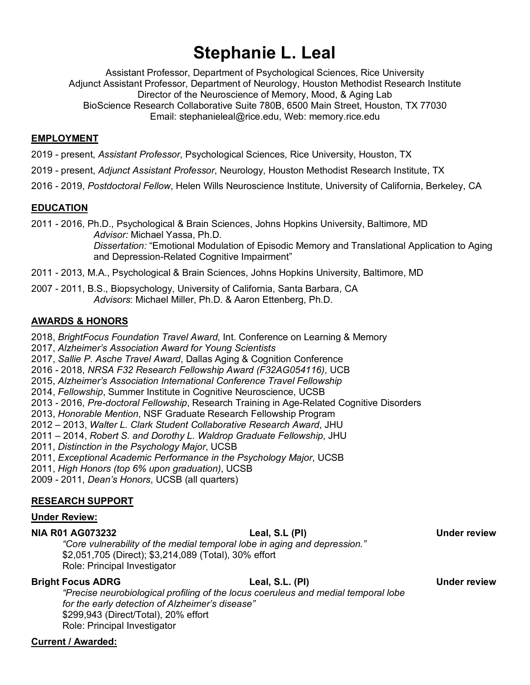# **Stephanie L. Leal**

 Assistant Professor, Department of Psychological Sciences, Rice University Adjunct Assistant Professor, Department of Neurology, Houston Methodist Research Institute Director of the Neuroscience of Memory, Mood, & Aging Lab BioScience Research Collaborative Suite 780B, 6500 Main Street, Houston, TX 77030 Email: [stephanieleal@rice.edu](mailto:stephanieleal@rice.edu), Web: [memory.rice.edu](https://memory.rice.edu) 

### **EMPLOYMENT**

2019 - present, *Assistant Professor*, Psychological Sciences, Rice University, Houston, TX

 2019 - present, *Adjunct Assistant Professor*, Neurology, Houston Methodist Research Institute, TX

2016 - 2019, *Postdoctoral Fellow*, Helen Wills Neuroscience Institute, University of California, Berkeley, CA

### **EDUCATION**

 2011 - 2016, Ph.D., Psychological & Brain Sciences, Johns Hopkins University, Baltimore, MD *Dissertation:* "Emotional Modulation of Episodic Memory and Translational Application to Aging and Depression-Related Cognitive Impairment" *Advisor:* Michael Yassa, Ph.D.

2011 - 2013, M.A., Psychological & Brain Sciences, Johns Hopkins University, Baltimore, MD

 2007 - 2011, B.S., Biopsychology, University of California, Santa Barbara, CA *Advisors*: Michael Miller, Ph.D. & Aaron Ettenberg, Ph.D.

### **AWARDS & HONORS**

 2018, *BrightFocus Foundation Travel Award*, Int. Conference on Learning & Memory

 2017, *Alzheimer's Association Award for Young Scientists* 

 2017, *Sallie P. Asche Travel Award*, Dallas Aging & Cognition Conference

 2016 - 2018, *NRSA F32 Research Fellowship Award (F32AG054116)*, UCB

 2015, *Alzheimer's Association International Conference Travel Fellowship* 

2014, *Fellowship*, Summer Institute in Cognitive Neuroscience, UCSB

2013 - 2016, *Pre-doctoral Fellowship*, Research Training in Age-Related Cognitive Disorders

2013, *Honorable Mention*, NSF Graduate Research Fellowship Program

2012 – 2013, *Walter L. Clark Student Collaborative Research Award*, JHU

 2011 – 2014, *Robert S. and Dorothy L. Waldrop Graduate Fellowship*, JHU

 2011, *Distinction in the Psychology Major*, UCSB

 2011, *Exceptional Academic Performance in the Psychology Major*, UCSB

2011, *High Honors (top 6% upon graduation)*, UCSB

2009 - 2011, *Dean's Honors*, UCSB (all quarters)

### **RESEARCH SUPPORT**

### **Under Review:**

#### **NIA R01 AG073232 Leal, S.L (PI) Under review**

 *"Core vulnerability of the medial temporal lobe in aging and depression."*  \$2,051,705 (Direct); \$3,214,089 (Total), 30% effort Role: Principal Investigator

**Bright Focus ADRG** Leal, S.L. (PI) Example 19 Under review

 *"Precise neurobiological profiling of the locus coeruleus and medial temporal lobe for the early detection of Alzheimer's disease"*  \$299,943 (Direct/Total), 20% effort Role: Principal Investigator

## **Current / Awarded:**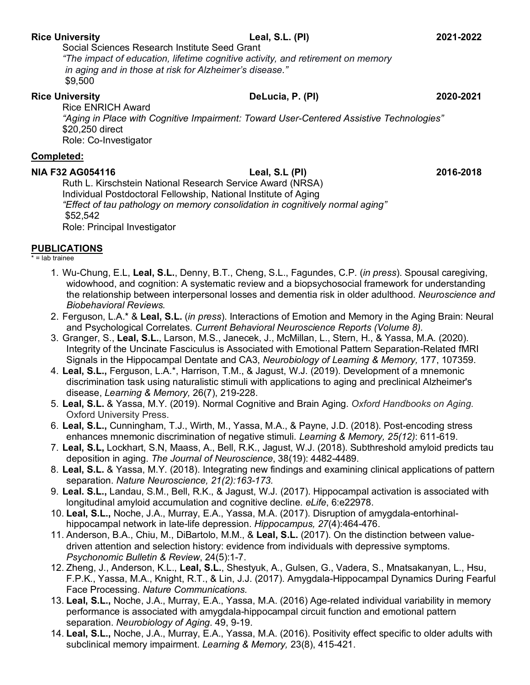#### **Rice University Leal, S.L. (PI) 2021-2022**

 Social Sciences Research Institute Seed Grant  *"The impact of education, lifetime cognitive activity, and retirement on memory in aging and in those at risk for Alzheimer's disease."*  \$9,500

#### **Rice University**

 Rice ENRICH Award  *"Aging in Place with Cognitive Impairment: Toward User-Centered Assistive Technologies"*  \$20,250 direct Role: Co-Investigator

#### **Completed:**

 **NIA F32 AG054116 Leal, S.L (PI) 2016-2018**  Ruth L. Kirschstein National Research Service Award (NRSA) Individual Postdoctoral Fellowship, National Institute of Aging  *"Effect of tau pathology on memory consolidation in cognitively normal aging"*  Role: Principal Investigator \$52,542

### **PUBLICATIONS**

#### \* = lab trainee

- 1. Wu-Chung, E.L, **Leal, S.L.**, Denny, B.T., Cheng, S.L., Fagundes, C.P. (*in press*). Spousal caregiving, widowhood, and cognition: A systematic review and a biopsychosocial framework for understanding the relationship between interpersonal losses and dementia risk in older adulthood. *Neuroscience and Biobehavioral Reviews.*
- 2. Ferguson, L.A.\* & **Leal, S.L.** (*in press*). Interactions of Emotion and Memory in the Aging Brain: Neural and Psychological Correlates. *Current Behavioral Neuroscience Reports (Volume 8).*
- 3. Granger, S., **Leal, S.L.**, Larson, M.S., Janecek, J., McMillan, L., Stern, H., & Yassa, M.A. (2020). Integrity of the Uncinate Fasciculus is Associated with Emotional Pattern Separation-Related fMRI Signals in the Hippocampal Dentate and CA3, *Neurobiology of Learning & Memory,* 177, 107359.
- 4. **Leal, S.L.,** Ferguson, L.A.\*, Harrison, T.M., & Jagust, W.J. (2019). Development of a mnemonic discrimination task using naturalistic stimuli with applications to aging and preclinical Alzheimer's  disease, *Learning & Memory,* 26(7), 219-228.
- 5. **Leal, S.L.** & Yassa, M.Y. (2019). Normal Cognitive and Brain Aging. *Oxford Handbooks on Aging*. Oxford University Press.
- 6. **Leal, S.L.,** Cunningham, T.J., Wirth, M., Yassa, M.A., & Payne, J.D. (2018). Post-encoding stress enhances mnemonic discrimination of negative stimuli. *Learning & Memory, 25(12)*: 611-619.
- 7. **Leal, S.L,** Lockhart, S.N, Maass, A., Bell, R.K., Jagust, W.J. (2018). Subthreshold amyloid predicts tau deposition in aging. *The Journal of Neuroscience*, 38(19): 4482-4489.
- 8. **Leal, S.L.** & Yassa, M.Y. (2018). Integrating new findings and examining clinical applications of pattern separation. *Nature Neuroscience, 21(2):163-173.*
- 9. **Leal. S.L.,** Landau, S.M., Bell, R.K., & Jagust, W.J. (2017). Hippocampal activation is associated with longitudinal amyloid accumulation and cognitive decline. *eLife*, 6:e22978.
- 10. **Leal, S.L.,** Noche, J.A., Murray, E.A., Yassa, M.A. (2017). Disruption of amygdala-entorhinal-hippocampal network in late-life depression. *Hippocampus, 27*(4):464-476.
- 11. Anderson, B.A., Chiu, M., DiBartolo, M.M., & **Leal, S.L.** (2017). On the distinction between value- driven attention and selection history: evidence from individuals with depressive symptoms.  *Psychonomic Bulletin & Review*, 24(5):1-7.
- 12. Zheng, J., Anderson, K.L., **Leal, S.L.**, Shestyuk, A., Gulsen, G., Vadera, S., Mnatsakanyan, L., Hsu, F.P.K., Yassa, M.A., Knight, R.T., & Lin, J.J. (2017). Amygdala-Hippocampal Dynamics During Fearful Face Processing. *Nature Communications.*
- 13. **Leal, S.L.,** Noche, J.A., Murray, E.A., Yassa, M.A. (2016) Age-related individual variability in memory performance is associated with amygdala-hippocampal circuit function and emotional pattern  separation. *Neurobiology of Aging*. 49, 9-19.
- 14. **Leal, S.L.,** Noche, J.A., Murray, E.A., Yassa, M.A. (2016). Positivity effect specific to older adults with  subclinical memory impairment. *Learning & Memory,* 23(8), 415-421.

**Rice University DeLucia, P. (PI) 2020-2021**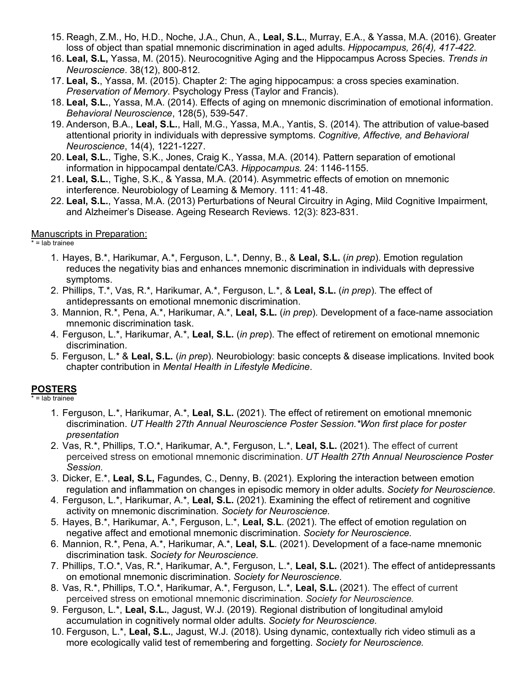- 15. Reagh, Z.M., Ho, H.D., Noche, J.A., Chun, A., **Leal, S.L.**, Murray, E.A., & Yassa, M.A. (2016). Greater loss of object than spatial mnemonic discrimination in aged adults. *Hippocampus, 26(4), 417-422.*
- 16. **Leal, S.L,** Yassa, M. (2015). Neurocognitive Aging and the Hippocampus Across Species. *Trends in Neuroscience*. 38(12), 800-812.
- 17. **Leal, S.**, Yassa, M. (2015). Chapter 2: The aging hippocampus: a cross species examination.  *Preservation of Memory*. Psychology Press (Taylor and Francis).
- 18. **Leal, S.L.**, Yassa, M.A. (2014). Effects of aging on mnemonic discrimination of emotional information. *Behavioral Neuroscience*, 128(5), 539-547.
- 19. Anderson, B.A., **Leal, S.L.**, Hall, M.G., Yassa, M.A., Yantis, S. (2014). The attribution of value-based attentional priority in individuals with depressive symptoms. *Cognitive, Affective, and Behavioral Neuroscience*, 14(4), 1221-1227.
- 20. **Leal, S.L.**, Tighe, S.K., Jones, Craig K., Yassa, M.A. (2014). Pattern separation of emotional information in hippocampal dentate/CA3. *Hippocampus.* 24: 1146-1155.
- 21. **Leal, S.L.**, Tighe, S.K., & Yassa, M.A. (2014). Asymmetric effects of emotion on mnemonic interference. Neurobiology of Learning & Memory. 111: 41-48.
- 22. **Leal, S.L.**, Yassa, M.A. (2013) Perturbations of Neural Circuitry in Aging, Mild Cognitive Impairment, and Alzheimer's Disease. Ageing Research Reviews. 12(3): 823-831.

### Manuscripts in Preparation:

\* = lab trainee

- 1. Hayes, B.\*, Harikumar, A.\*, Ferguson, L.\*, Denny, B., & **Leal, S.L.** (*in prep*). Emotion regulation reduces the negativity bias and enhances mnemonic discrimination in individuals with depressive symptoms.
- 2. Phillips, T.\*, Vas, R.\*, Harikumar, A.\*, Ferguson, L.\*, & **Leal, S.L.** (*in prep*). The effect of antidepressants on emotional mnemonic discrimination.
- 3. Mannion, R.\*, Pena, A.\*, Harikumar, A.\*, **Leal, S.L.** (*in prep*). Development of a face-name association mnemonic discrimination task.
- 4. Ferguson, L.\*, Harikumar, A.\*, **Leal, S.L.** (*in prep*). The effect of retirement on emotional mnemonic discrimination.
- 5. Ferguson, L.\* & **Leal, S.L.** (*in prep*). Neurobiology: basic concepts & disease implications. Invited book chapter contribution in *Mental Health in Lifestyle Medicine*.

## **POSTERS**

\* = lab trainee

- 1. Ferguson, L.\*, Harikumar, A.\*, **Leal, S.L.** (2021). The effect of retirement on emotional mnemonic  discrimination. *UT Health 27th Annual Neuroscience Poster Session.\*Won first place for poster presentation*
- 2. Vas, R.\*, Phillips, T.O.\*, Harikumar, A.\*, Ferguson, L.\*, **Leal, S.L.** (2021). The effect of current perceived stress on emotional mnemonic discrimination. *UT Health 27th Annual Neuroscience Poster Session.*
- 3. Dicker, E.\*, **Leal, S.L,** Fagundes, C., Denny, B. (2021). Exploring the interaction between emotion regulation and inflammation on changes in episodic memory in older adults. *Society for Neuroscience.*
- 4. Ferguson, L.\*, Harikumar, A.\*, **Leal, S.L.** (2021). Examining the effect of retirement and cognitive activity on mnemonic discrimination. *Society for Neuroscience.*
- 5. Hayes, B.\*, Harikumar, A.\*, Ferguson, L.\*, **Leal, S.L**. (2021). The effect of emotion regulation on negative affect and emotional mnemonic discrimination. *Society for Neuroscience.*
- 6. Mannion, R.\*, Pena, A.\*, Harikumar, A.\*, **Leal, S.L**. (2021). Development of a face-name mnemonic discrimination task. *Society for Neuroscience.*
- 7. Phillips, T.O.\*, Vas, R.\*, Harikumar, A.\*, Ferguson, L.\*, **Leal, S.L.** (2021). The effect of antidepressants on emotional mnemonic discrimination. *Society for Neuroscience.*
- 8. Vas, R.\*, Phillips, T.O.\*, Harikumar, A.\*, Ferguson, L.\*, **Leal, S.L.** (2021). The effect of current perceived stress on emotional mnemonic discrimination. *Society for Neuroscience.*
- 9. Ferguson, L.\*, **Leal, S.L.**, Jagust, W.J. (2019). Regional distribution of longitudinal amyloid accumulation in cognitively normal older adults. *Society for Neuroscience.*
- 10. Ferguson, L.\*, **Leal, S.L.**, Jagust, W.J. (2018). Using dynamic, contextually rich video stimuli as a more ecologically valid test of remembering and forgetting. *Society for Neuroscience.*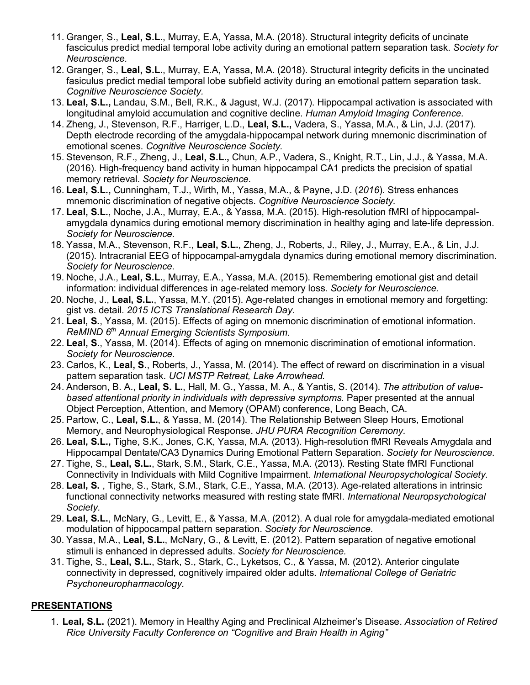- 11. Granger, S., **Leal, S.L.**, Murray, E.A, Yassa, M.A. (2018). Structural integrity deficits of uncinate fasciculus predict medial temporal lobe activity during an emotional pattern separation task. *Society for Neuroscience.*
- 12. Granger, S., **Leal, S.L.**, Murray, E.A, Yassa, M.A. (2018). Structural integrity deficits in the uncinated fasiculus predict medial temporal lobe subfield activity during an emotional pattern separation task.  *Cognitive Neuroscience Society.*
- 13. **Leal, S.L.,** Landau, S.M., Bell, R.K., & Jagust, W.J. (2017). Hippocampal activation is associated with longitudinal amyloid accumulation and cognitive decline. *Human Amyloid Imaging Conference.*
- 14. Zheng, J., Stevenson, R.F., Harriger, L.D., **Leal, S.L.,** Vadera, S., Yassa, M.A., & Lin, J.J. (2017). Depth electrode recording of the amygdala-hippocampal network during mnemonic discrimination of emotional scenes. *Cognitive Neuroscience Society.*
- 15. Stevenson, R.F., Zheng, J., **Leal, S.L.,** Chun, A.P., Vadera, S., Knight, R.T., Lin, J.J., & Yassa, M.A. (2016). High-frequency band activity in human hippocampal CA1 predicts the precision of spatial memory retrieval. *Society for Neuroscience.*
- 16. **Leal, S.L.,** Cunningham, T.J., Wirth, M., Yassa, M.A., & Payne, J.D. (*2016*). Stress enhances mnemonic discrimination of negative objects. *Cognitive Neuroscience Society.*
- 17. **Leal, S.L.**, Noche, J.A., Murray, E.A., & Yassa, M.A. (2015). High-resolution fMRI of hippocampal- amygdala dynamics during emotional memory discrimination in healthy aging and late-life depression. *Society for Neuroscience.*
- 18. Yassa, M.A., Stevenson, R.F., **Leal, S.L.**, Zheng, J., Roberts, J., Riley, J., Murray, E.A., & Lin, J.J. (2015). Intracranial EEG of hippocampal-amygdala dynamics during emotional memory discrimination. *Society for Neuroscience.*
- 19. Noche, J.A., **Leal, S.L.**, Murray, E.A., Yassa, M.A. (2015). Remembering emotional gist and detail information: individual differences in age-related memory loss. *Society for Neuroscience.*
- 20. Noche, J., **Leal, S.L.**, Yassa, M.Y. (2015). Age-related changes in emotional memory and forgetting: gist vs. detail. *2015 ICTS Translational Research Day.*
- 21. **Leal, S.**, Yassa, M. (2015). Effects of aging on mnemonic discrimination of emotional information.  *ReMIND 6th Annual Emerging Scientists Symposium.*
- 22. **Leal, S.**, Yassa, M. (2014). Effects of aging on mnemonic discrimination of emotional information. *Society for Neuroscience.*
- 23. Carlos, K., **Leal, S.**, Roberts, J., Yassa, M. (2014). The effect of reward on discrimination in a visual pattern separation task. *UCI MSTP Retreat, Lake Arrowhead.*
- 24. Anderson, B. A., **Leal, S. L.**, Hall, M. G., Yassa, M. A., & Yantis, S. (2014). *The attribution of value*based attentional priority in individuals with depressive symptoms. Paper presented at the annual Object Perception, Attention, and Memory (OPAM) conference, Long Beach, CA.
- 25. Partow, C., **Leal, S.L.**, & Yassa, M. (2014). The Relationship Between Sleep Hours, Emotional Memory, and Neurophysiological Response. *JHU PURA Recognition Ceremony.*
- 26. **Leal, S.L.,** Tighe, S.K., Jones, C.K, Yassa, M.A. (2013). High-resolution fMRI Reveals Amygdala and Hippocampal Dentate/CA3 Dynamics During Emotional Pattern Separation. *Society for Neuroscience.*
- 27. Tighe, S., **Leal, S.L.**, Stark, S.M., Stark, C.E., Yassa, M.A. (2013). Resting State fMRI Functional Connectivity in Individuals with Mild Cognitive Impairment. *International Neuropsychological Society.*
- 28. **Leal, S.** , Tighe, S., Stark, S.M., Stark, C.E., Yassa, M.A. (2013). Age-related alterations in intrinsic functional connectivity networks measured with resting state fMRI. *International Neuropsychological Society.*
- 29. **Leal, S.L.**, McNary, G., Levitt, E., & Yassa, M.A. (2012). A dual role for amygdala-mediated emotional modulation of hippocampal pattern separation. *Society for Neuroscience.*
- 30. Yassa, M.A., **Leal, S.L.**, McNary, G., & Levitt, E. (2012). Pattern separation of negative emotional stimuli is enhanced in depressed adults. *Society for Neuroscience.*
- 31. Tighe, S., **Leal, S.L.**, Stark, S., Stark, C., Lyketsos, C., & Yassa, M. (2012). Anterior cingulate connectivity in depressed, cognitively impaired older adults. *International College of Geriatric Psychoneuropharmacology.*

## **PRESENTATIONS**

 1. **Leal, S.L.** (2021). Memory in Healthy Aging and Preclinical Alzheimer's Disease. *Association of Retired Rice University Faculty Conference on "Cognitive and Brain Health in Aging"*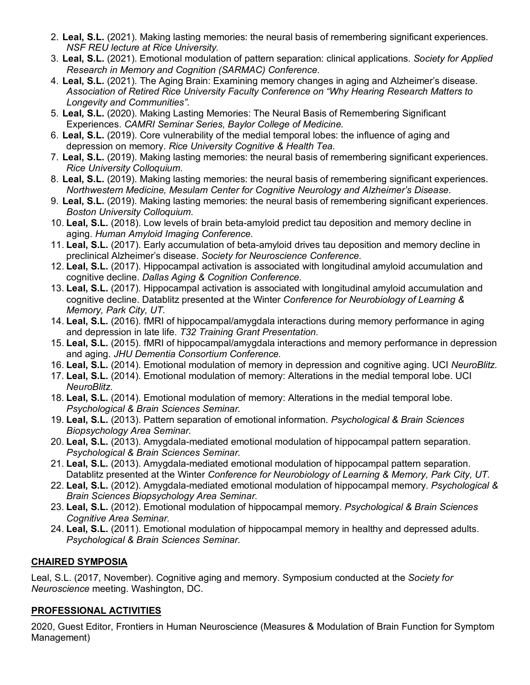- 2. **Leal, S.L.** (2021). Making lasting memories: the neural basis of remembering significant experiences.  *NSF REU lecture at Rice University.*
- 3. **Leal, S.L.** (2021). Emotional modulation of pattern separation: clinical applications. *Society for Applied Research in Memory and Cognition (SARMAC) Conference.*
- 4. **Leal, S.L.** (2021). The Aging Brain: Examining memory changes in aging and Alzheimer's disease.  *Association of Retired Rice University Faculty Conference on "Why Hearing Research Matters to Longevity and Communities".*
- 5. **Leal, S.L.** (2020). Making Lasting Memories: The Neural Basis of Remembering Significant  Experiences. *CAMRI Seminar Series, Baylor College of Medicine.*
- 6. **Leal, S.L.** (2019). Core vulnerability of the medial temporal lobes: the influence of aging and depression on memory. *Rice University Cognitive & Health Tea.*
- 7. **Leal, S.L.** (2019). Making lasting memories: the neural basis of remembering significant experiences.  *Rice University Colloquium*.
- 8. **Leal, S.L.** (2019). Making lasting memories: the neural basis of remembering significant experiences.  *Northwestern Medicine, Mesulam Center for Cognitive Neurology and Alzheimer's Disease*.
- 9. **Leal, S.L.** (2019). Making lasting memories: the neural basis of remembering significant experiences.  *Boston University Colloquium*.
- 10. **Leal, S.L.** (2018). Low levels of brain beta-amyloid predict tau deposition and memory decline in  aging. *Human Amyloid Imaging Conference.*
- 11. **Leal, S.L.** (2017). Early accumulation of beta-amyloid drives tau deposition and memory decline in  preclinical Alzheimer's disease. *Society for Neuroscience Conference.*
- 12. **Leal, S.L.** (2017). Hippocampal activation is associated with longitudinal amyloid accumulation and cognitive decline. *Dallas Aging & Cognition Conference.*
- 13. **Leal, S.L.** (2017). Hippocampal activation is associated with longitudinal amyloid accumulation and cognitive decline. Datablitz presented at the Winter *Conference for Neurobiology of Learning & Memory, Park City, UT.*
- 14. **Leal, S.L.** (2016). fMRI of hippocampal/amygdala interactions during memory performance in aging and depression in late life. *T32 Training Grant Presentation.*
- 15. **Leal, S.L.** (2015). fMRI of hippocampal/amygdala interactions and memory performance in depression  and aging. *JHU Dementia Consortium Conference.*
- 16. **Leal, S.L.** (2014). Emotional modulation of memory in depression and cognitive aging. UCI *NeuroBlitz.*
- 17. **Leal, S.L.** (2014). Emotional modulation of memory: Alterations in the medial temporal lobe. UCI *NeuroBlitz.*
- 18. **Leal, S.L.** (2014). Emotional modulation of memory: Alterations in the medial temporal lobe.  *Psychological & Brain Sciences Seminar.*
- 19. **Leal, S.L.** (2013). Pattern separation of emotional information. *Psychological & Brain Sciences Biopsychology Area Seminar.*
- 20. **Leal, S.L.** (2013). Amygdala-mediated emotional modulation of hippocampal pattern separation.  *Psychological & Brain Sciences Seminar.*
- 21. **Leal, S.L.** (2013). Amygdala-mediated emotional modulation of hippocampal pattern separation. Datablitz presented at the Winter *Conference for Neurobiology of Learning & Memory, Park City, UT.*
- 22. **Leal, S.L.** (2012). Amygdala-mediated emotional modulation of hippocampal memory. *Psychological & Brain Sciences Biopsychology Area Seminar.*
- 23. **Leal, S.L.** (2012). Emotional modulation of hippocampal memory. *Psychological & Brain Sciences Cognitive Area Seminar.*
- 24. **Leal, S.L.** (2011). Emotional modulation of hippocampal memory in healthy and depressed adults.  *Psychological & Brain Sciences Seminar.*

## **CHAIRED SYMPOSIA**

 Leal, S.L. (2017, November). Cognitive aging and memory. Symposium conducted at the *Society for Neuroscience* meeting. Washington, DC.

## **PROFESSIONAL ACTIVITIES**

 2020, Guest Editor, Frontiers in Human Neuroscience (Measures & Modulation of Brain Function for Symptom Management)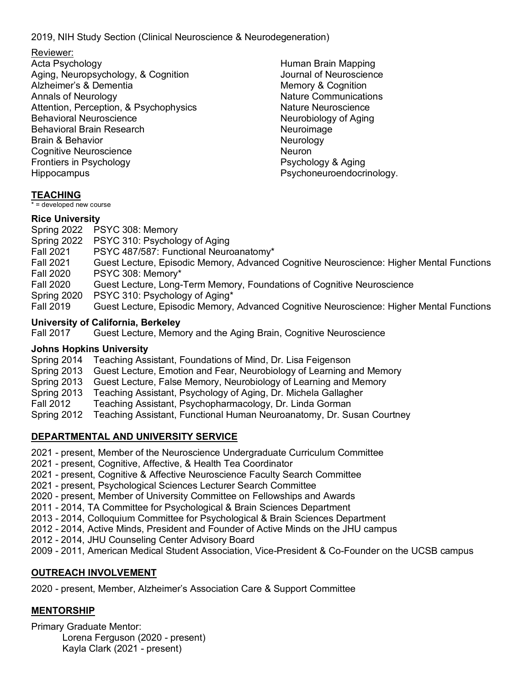2019, NIH Study Section (Clinical Neuroscience & Neurodegeneration)

Reviewer:

Acta Psychology Acta Psychology<br>Aging, Neuropsychology, & Cognition Alzheimer's & Dementia Annals of Neurology Attention, Perception, & Psychophysics **Behavioral Neuroscience** Behavioral Neuroscience<br>Behavioral Brain Research Brain & Behavior Cognitive Neuroscience<br>Frontiers in Psychology<br>Hippocampus Frontiers in Psychology Hippocampus

Human Brain Mapping Journal of Neuroscience Memory & Cognition Nature Communications Nature Neuroscience Neurobiology of Aging Neuroimage **Neurology Neuron** Psychology & Aging Psychoneuroendocrinology.

## **TEACHING**

\* = developed new course

## **Rice University**

 Spring 2022 PSYC 308: Memory Spring 2022 PSYC 310: Psychology of Aging Fall 2021 PSYC 487/587: Functional Neuroanatomy\* **Fall 2021 Fall 2020 Fall 2020**  Spring 2020 PSYC 310: Psychology of Aging\* Fall 2019 Guest Lecture, Episodic Memory, Advanced Cognitive Neuroscience: Higher Mental Functions PSYC 308: Memory\* Guest Lecture, Long-Term Memory, Foundations of Cognitive Neuroscience Guest Lecture, Episodic Memory, Advanced Cognitive Neuroscience: Higher Mental Functions

## **University of California, Berkeley**

**Fall 2017** Guest Lecture, Memory and the Aging Brain, Cognitive Neuroscience

## **Johns Hopkins University**

Spring 2014 Teaching Assistant, Foundations of Mind, Dr. Lisa Feigenson

- Spring 2013 Guest Lecture, Emotion and Fear, Neurobiology of Learning and Memory
- Spring 2013 Guest Lecture, False Memory, Neurobiology of Learning and Memory
- Spring 2013 Teaching Assistant, Psychology of Aging, Dr. Michela Gallagher

Fall 2012 Teaching Assistant, Psychopharmacology, Dr. Linda Gorman

Spring 2012 Teaching Assistant, Functional Human Neuroanatomy, Dr. Susan Courtney

## **DEPARTMENTAL AND UNIVERSITY SERVICE**

- 2021 present, Member of the Neuroscience Undergraduate Curriculum Committee
- 2021 present, Cognitive, Affective, & Health Tea Coordinator
- 2021 present, Cognitive & Affective Neuroscience Faculty Search Committee
- 2021 present, Psychological Sciences Lecturer Search Committee
- 2020 present, Member of University Committee on Fellowships and Awards
- 2011 2014, TA Committee for Psychological & Brain Sciences Department
- 2013 2014, Colloquium Committee for Psychological & Brain Sciences Department
- 2012 2014, Active Minds, President and Founder of Active Minds on the JHU campus
- 2012 2014, JHU Counseling Center Advisory Board
- 2009 2011, American Medical Student Association, Vice-President & Co-Founder on the UCSB campus

## **OUTREACH INVOLVEMENT**

2020 - present, Member, Alzheimer's Association Care & Support Committee

## **MENTORSHIP**

 Primary Graduate Mentor: Lorena Ferguson (2020 - present) Kayla Clark (2021 - present)